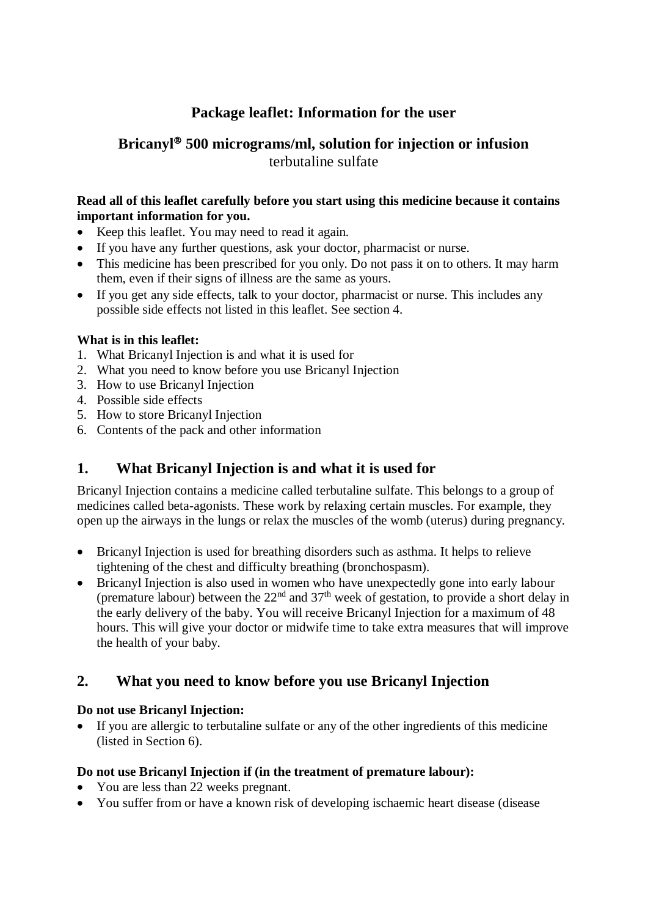# **Package leaflet: Information for the user**

# **Bricanyl 500 micrograms/ml, solution for injection or infusion** terbutaline sulfate

## **Read all of this leaflet carefully before you start using this medicine because it contains important information for you.**

- Keep this leaflet. You may need to read it again.
- If you have any further questions, ask your doctor, pharmacist or nurse.
- This medicine has been prescribed for you only. Do not pass it on to others. It may harm them, even if their signs of illness are the same as yours.
- If you get any side effects, talk to your doctor, pharmacist or nurse. This includes any possible side effects not listed in this leaflet. See section 4.

## **What is in this leaflet:**

- 1. What Bricanyl Injection is and what it is used for
- 2. What you need to know before you use Bricanyl Injection
- 3. How to use Bricanyl Injection
- 4. Possible side effects
- 5. How to store Bricanyl Injection
- 6. Contents of the pack and other information

# **1. What Bricanyl Injection is and what it is used for**

Bricanyl Injection contains a medicine called terbutaline sulfate. This belongs to a group of medicines called beta-agonists. These work by relaxing certain muscles. For example, they open up the airways in the lungs or relax the muscles of the womb (uterus) during pregnancy.

- Bricanyl Injection is used for breathing disorders such as asthma. It helps to relieve tightening of the chest and difficulty breathing (bronchospasm).
- Bricanyl Injection is also used in women who have unexpectedly gone into early labour (premature labour) between the  $22<sup>nd</sup>$  and  $37<sup>th</sup>$  week of gestation, to provide a short delay in the early delivery of the baby. You will receive Bricanyl Injection for a maximum of 48 hours. This will give your doctor or midwife time to take extra measures that will improve the health of your baby.

# **2. What you need to know before you use Bricanyl Injection**

### **Do not use Bricanyl Injection:**

 If you are allergic to terbutaline sulfate or any of the other ingredients of this medicine (listed in Section 6).

### **Do not use Bricanyl Injection if (in the treatment of premature labour):**

- You are less than 22 weeks pregnant.
- You suffer from or have a known risk of developing ischaemic heart disease (disease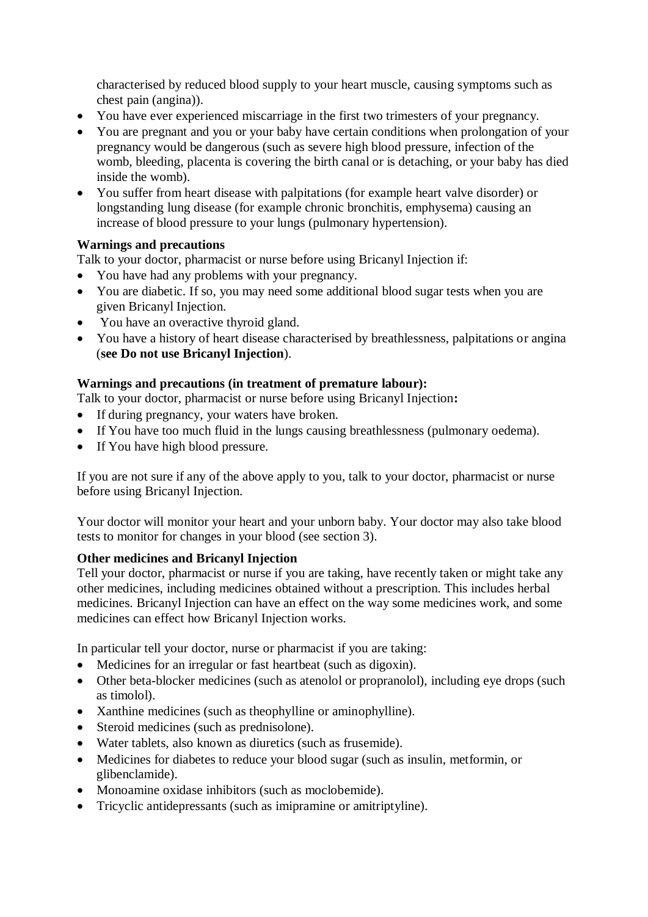characterised by reduced blood supply to your heart muscle, causing symptoms such as chest pain (angina)).

- You have ever experienced miscarriage in the first two trimesters of your pregnancy.
- You are pregnant and you or your baby have certain conditions when prolongation of your pregnancy would be dangerous (such as severe high blood pressure, infection of the womb, bleeding, placenta is covering the birth canal or is detaching, or your baby has died inside the womb).
- You suffer from heart disease with palpitations (for example heart valve disorder) or longstanding lung disease (for example chronic bronchitis, emphysema) causing an increase of blood pressure to your lungs (pulmonary hypertension).

### **Warnings and precautions**

Talk to your doctor, pharmacist or nurse before using Bricanyl Injection if:

- You have had any problems with your pregnancy.
- You are diabetic. If so, you may need some additional blood sugar tests when you are given Bricanyl Injection.
- You have an overactive thyroid gland.
- You have a history of heart disease characterised by breathlessness, palpitations or angina (**see Do not use Bricanyl Injection**).

## **Warnings and precautions (in treatment of premature labour):**

Talk to your doctor, pharmacist or nurse before using Bricanyl Injection**:** 

- If during pregnancy, your waters have broken.
- If You have too much fluid in the lungs causing breathlessness (pulmonary oedema).
- If You have high blood pressure.

If you are not sure if any of the above apply to you, talk to your doctor, pharmacist or nurse before using Bricanyl Injection.

Your doctor will monitor your heart and your unborn baby. Your doctor may also take blood tests to monitor for changes in your blood (see section 3).

### **Other medicines and Bricanyl Injection**

Tell your doctor, pharmacist or nurse if you are taking, have recently taken or might take any other medicines, including medicines obtained without a prescription. This includes herbal medicines. Bricanyl Injection can have an effect on the way some medicines work, and some medicines can effect how Bricanyl Injection works.

In particular tell your doctor, nurse or pharmacist if you are taking:

- Medicines for an irregular or fast heartbeat (such as digoxin).
- Other beta-blocker medicines (such as atenolol or propranolol), including eye drops (such as timolol).
- Xanthine medicines (such as the ophylline or aminophylline).
- Steroid medicines (such as prednisolone).
- Water tablets, also known as diuretics (such as frusemide).
- Medicines for diabetes to reduce your blood sugar (such as insulin, metformin, or glibenclamide).
- Monoamine oxidase inhibitors (such as moclobemide).
- Tricyclic antidepressants (such as imipramine or amitriptyline).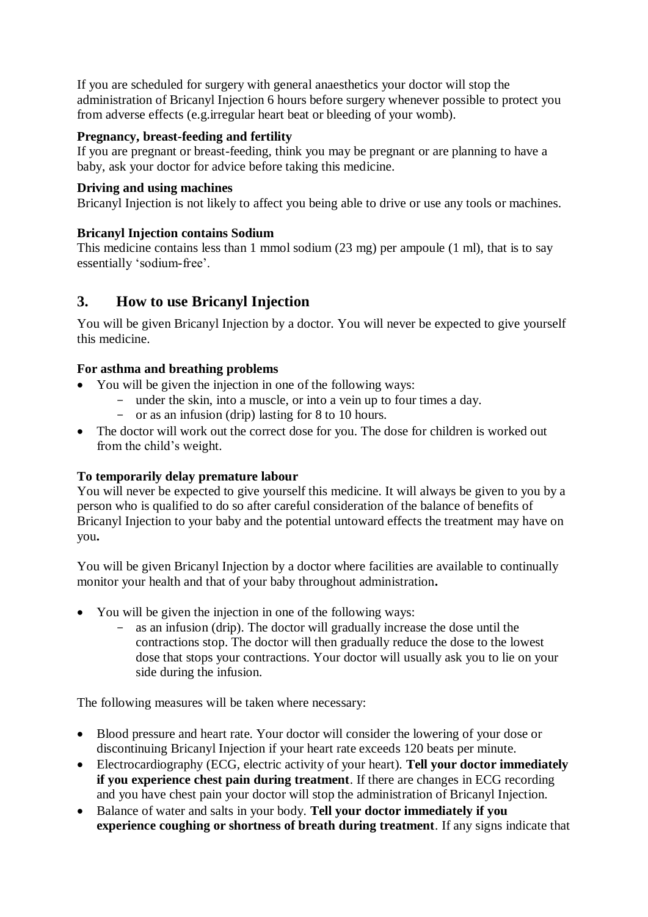If you are scheduled for surgery with general anaesthetics your doctor will stop the administration of Bricanyl Injection 6 hours before surgery whenever possible to protect you from adverse effects (e.g.irregular heart beat or bleeding of your womb).

### **Pregnancy, breast-feeding and fertility**

If you are pregnant or breast-feeding, think you may be pregnant or are planning to have a baby, ask your doctor for advice before taking this medicine.

#### **Driving and using machines**

Bricanyl Injection is not likely to affect you being able to drive or use any tools or machines.

### **Bricanyl Injection contains Sodium**

This medicine contains less than 1 mmol sodium (23 mg) per ampoule (1 ml), that is to say essentially 'sodium-free'.

# **3. How to use Bricanyl Injection**

You will be given Bricanyl Injection by a doctor. You will never be expected to give yourself this medicine.

### **For asthma and breathing problems**

- You will be given the injection in one of the following ways:
	- under the skin, into a muscle, or into a vein up to four times a day.
	- or as an infusion (drip) lasting for 8 to 10 hours.
- The doctor will work out the correct dose for you. The dose for children is worked out from the child's weight.

### **To temporarily delay premature labour**

You will never be expected to give yourself this medicine. It will always be given to you by a person who is qualified to do so after careful consideration of the balance of benefits of Bricanyl Injection to your baby and the potential untoward effects the treatment may have on you**.**

You will be given Bricanyl Injection by a doctor where facilities are available to continually monitor your health and that of your baby throughout administration**.**

- You will be given the injection in one of the following ways:
	- as an infusion (drip). The doctor will gradually increase the dose until the contractions stop. The doctor will then gradually reduce the dose to the lowest dose that stops your contractions. Your doctor will usually ask you to lie on your side during the infusion.

The following measures will be taken where necessary:

- Blood pressure and heart rate. Your doctor will consider the lowering of your dose or discontinuing Bricanyl Injection if your heart rate exceeds 120 beats per minute.
- Electrocardiography (ECG, electric activity of your heart). **Tell your doctor immediately if you experience chest pain during treatment**. If there are changes in ECG recording and you have chest pain your doctor will stop the administration of Bricanyl Injection.
- Balance of water and salts in your body. **Tell your doctor immediately if you experience coughing or shortness of breath during treatment**. If any signs indicate that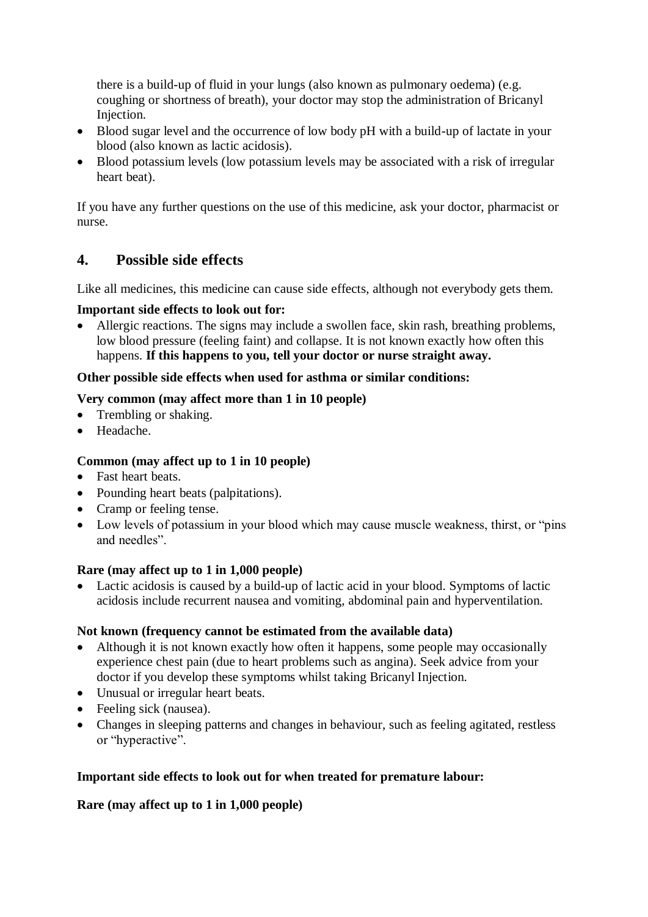there is a build-up of fluid in your lungs (also known as pulmonary oedema) (e.g. coughing or shortness of breath), your doctor may stop the administration of Bricanyl Injection.

- Blood sugar level and the occurrence of low body pH with a build-up of lactate in your blood (also known as lactic acidosis).
- Blood potassium levels (low potassium levels may be associated with a risk of irregular heart beat).

If you have any further questions on the use of this medicine, ask your doctor, pharmacist or nurse.

# **4. Possible side effects**

Like all medicines, this medicine can cause side effects, although not everybody gets them.

### **Important side effects to look out for:**

• Allergic reactions. The signs may include a swollen face, skin rash, breathing problems, low blood pressure (feeling faint) and collapse. It is not known exactly how often this happens. **If this happens to you, tell your doctor or nurse straight away.**

#### **Other possible side effects when used for asthma or similar conditions:**

#### **Very common (may affect more than 1 in 10 people)**

- Trembling or shaking.
- Headache.

### **Common (may affect up to 1 in 10 people)**

- Fast heart beats.
- Pounding heart beats (palpitations).
- Cramp or feeling tense.
- Low levels of potassium in your blood which may cause muscle weakness, thirst, or "pins and needles".

### **Rare (may affect up to 1 in 1,000 people)**

 Lactic acidosis is caused by a build-up of lactic acid in your blood. Symptoms of lactic acidosis include recurrent nausea and vomiting, abdominal pain and hyperventilation.

### **Not known (frequency cannot be estimated from the available data)**

- Although it is not known exactly how often it happens, some people may occasionally experience chest pain (due to heart problems such as angina). Seek advice from your doctor if you develop these symptoms whilst taking Bricanyl Injection.
- Unusual or irregular heart beats.
- Feeling sick (nausea).
- Changes in sleeping patterns and changes in behaviour, such as feeling agitated, restless or "hyperactive".

### **Important side effects to look out for when treated for premature labour:**

### **Rare (may affect up to 1 in 1,000 people)**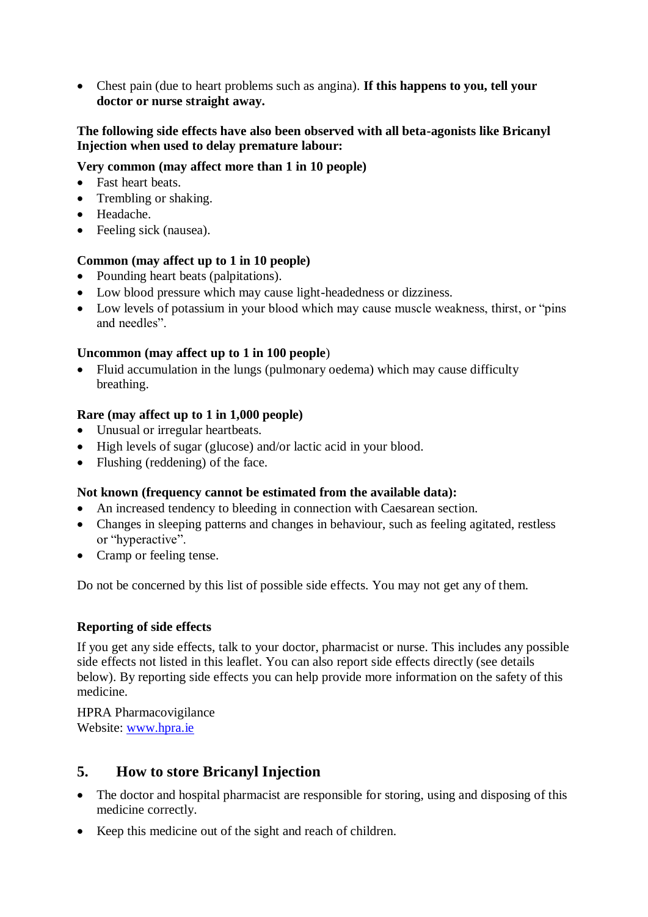Chest pain (due to heart problems such as angina). **If this happens to you, tell your doctor or nurse straight away.**

#### **The following side effects have also been observed with all beta-agonists like Bricanyl Injection when used to delay premature labour:**

#### **Very common (may affect more than 1 in 10 people)**

- Fast heart beats.
- Trembling or shaking.
- Headache.
- Feeling sick (nausea).

#### **Common (may affect up to 1 in 10 people)**

- Pounding heart beats (palpitations).
- Low blood pressure which may cause light-headedness or dizziness.
- Low levels of potassium in your blood which may cause muscle weakness, thirst, or "pins and needles".

#### **Uncommon (may affect up to 1 in 100 people**)

 Fluid accumulation in the lungs (pulmonary oedema) which may cause difficulty breathing.

#### **Rare (may affect up to 1 in 1,000 people)**

- Unusual or irregular heartbeats.
- High levels of sugar (glucose) and/or lactic acid in your blood.
- Flushing (reddening) of the face.

#### **Not known (frequency cannot be estimated from the available data):**

- An increased tendency to bleeding in connection with Caesarean section.
- Changes in sleeping patterns and changes in behaviour, such as feeling agitated, restless or "hyperactive".
- Cramp or feeling tense.

Do not be concerned by this list of possible side effects. You may not get any of them.

### **Reporting of side effects**

If you get any side effects, talk to your doctor, pharmacist or nurse. This includes any possible side effects not listed in this leaflet. You can also report side effects directly (see details below). By reporting side effects you can help provide more information on the safety of this medicine.

HPRA Pharmacovigilance Website: [www.hpra.ie](http://www.hpra.ie/)

## **5. How to store Bricanyl Injection**

- The doctor and hospital pharmacist are responsible for storing, using and disposing of this medicine correctly.
- Keep this medicine out of the sight and reach of children.